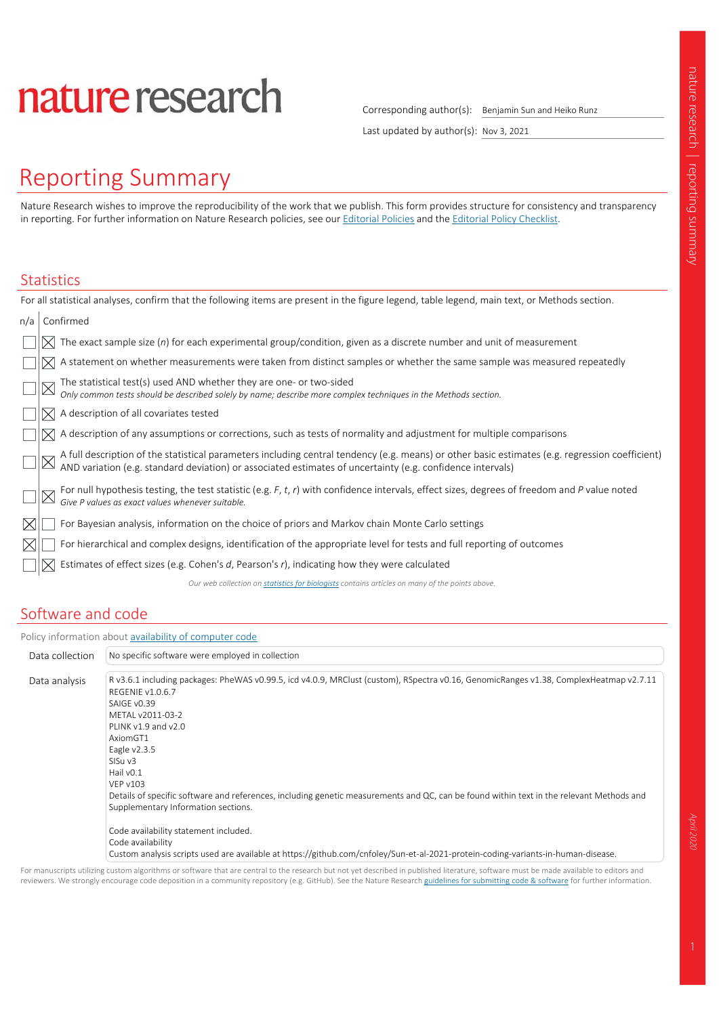# nature research

Corresponding author(s): Benjamin Sun and Heiko Runz

Last updated by author(s): Nov 3, 2021

# Reporting Summary

Nature Research wishes to improve the reproducibility of the work that we publish. This form provides structure for consistency and transparency in reporting. For further information on Nature Research policies, see our Editorial Policies and the Editorial Policy Checklist.

#### **Statistics**

| For all statistical analyses, confirm that the following items are present in the figure legend, table legend, main text, or Methods section. |  |                                                                                                                                                                                                                                   |  |  |  |  |
|-----------------------------------------------------------------------------------------------------------------------------------------------|--|-----------------------------------------------------------------------------------------------------------------------------------------------------------------------------------------------------------------------------------|--|--|--|--|
| n/a                                                                                                                                           |  | Confirmed                                                                                                                                                                                                                         |  |  |  |  |
|                                                                                                                                               |  | The exact sample size $(n)$ for each experimental group/condition, given as a discrete number and unit of measurement                                                                                                             |  |  |  |  |
|                                                                                                                                               |  | A statement on whether measurements were taken from distinct samples or whether the same sample was measured repeatedly                                                                                                           |  |  |  |  |
|                                                                                                                                               |  | The statistical test(s) used AND whether they are one- or two-sided<br>Only common tests should be described solely by name; describe more complex techniques in the Methods section.                                             |  |  |  |  |
|                                                                                                                                               |  | A description of all covariates tested                                                                                                                                                                                            |  |  |  |  |
|                                                                                                                                               |  | A description of any assumptions or corrections, such as tests of normality and adjustment for multiple comparisons                                                                                                               |  |  |  |  |
|                                                                                                                                               |  | A full description of the statistical parameters including central tendency (e.g. means) or other basic estimates (e.g. regression coefficient)<br>AND variation (e.g. standard deviation) or associated estimates of uncertainty |  |  |  |  |
|                                                                                                                                               |  | For null hypothesis testing, the test statistic (e.g. F, t, r) with confidence intervals, effect sizes, degrees of freedom and P value noted Give P values as exact values whenever suitable.                                     |  |  |  |  |
|                                                                                                                                               |  | For Bayesian analysis, information on the choice of priors and Markov chain Monte Carlo settings                                                                                                                                  |  |  |  |  |
|                                                                                                                                               |  | For hierarchical and complex designs, identification of the appropriate level for tests and full reporting of outcomes                                                                                                            |  |  |  |  |
|                                                                                                                                               |  | Estimates of effect sizes (e.g. Cohen's $d$ , Pearson's $r$ ), indicating how they were calculated                                                                                                                                |  |  |  |  |
|                                                                                                                                               |  | Our web collection on statistics for biologists contains articles on many of the points above.                                                                                                                                    |  |  |  |  |

### Software and code

|                 | Policy information about availability of computer code                                                                                                                                          |
|-----------------|-------------------------------------------------------------------------------------------------------------------------------------------------------------------------------------------------|
| Data collection | No specific software were employed in collection                                                                                                                                                |
| Data analysis   | R v3.6.1 including packages: PheWAS v0.99.5, icd v4.0.9, MRClust (custom), RSpectra v0.16, GenomicRanges v1.38, ComplexHeatmap v2.7.11<br><b>REGENIE v1.0.6.7</b><br>SAIGE v0.39                |
|                 | METAL v2011-03-2<br>PLINK v1.9 and v2.0<br>AxiomGT1<br>Eagle v2.3.5                                                                                                                             |
|                 | SISu v3<br>Hail v <sub>0.1</sub><br><b>VFP v103</b>                                                                                                                                             |
|                 | Details of specific software and references, including genetic measurements and QC, can be found within text in the relevant Methods and<br>Supplementary Information sections.                 |
|                 | Code availability statement included.<br>Code availability<br>Custom analysis scripts used are available at https://github.com/cnfoley/Sun-et-al-2021-protein-coding-variants-in-human-disease. |

For manuscripts utilizing custom algorithms or software that are central to the research but not yet described in published literature, software must be made available to editors and reviewers. We strongly encourage code deposition in a community repository (e.g. GitHub). See the Nature Research guidelines for submitting code & software for further information.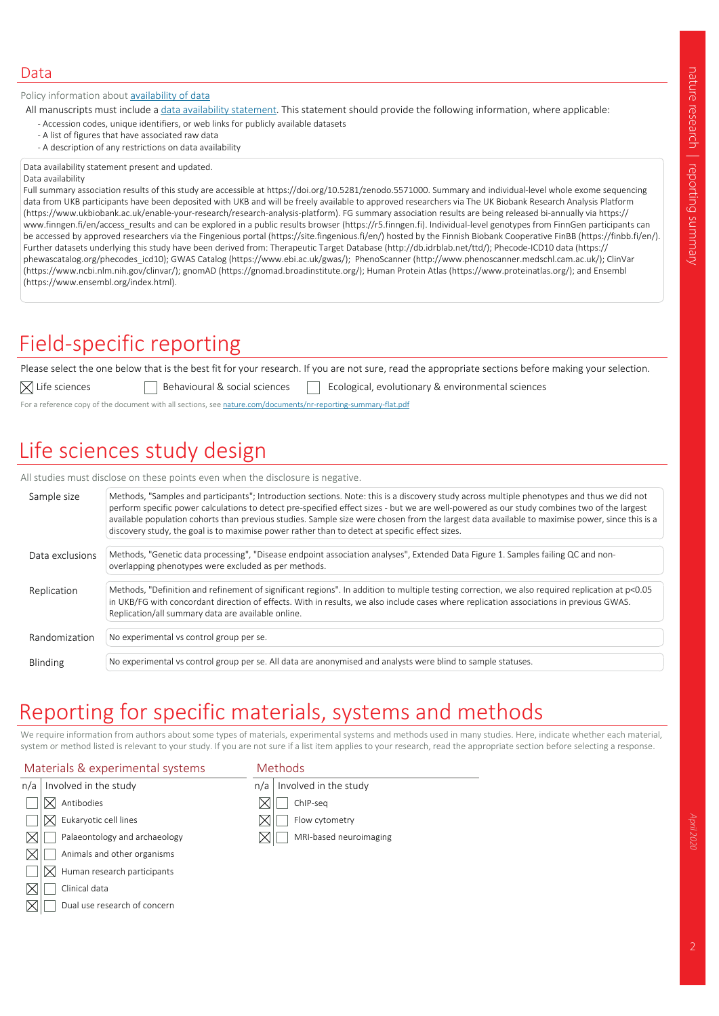### Data

Policy information about availability of data

All manuscripts must include a data availability statement. This statement should provide the following information, where applicable:

- Accession codes, unique identifiers, or web links for publicly available datasets
- A list of figures that have associated raw data
- A description of any restrictions on data availability

#### Data availability statement present and updated.

#### Data availability

Full summary association results of this study are accessible at https://doi.org/10.5281/zenodo.5571000. Summary and individual-level whole exome sequencing data from UKB participants have been deposited with UKB and will be freely available to approved researchers via The UK Biobank Research Analysis Platform (https://www.ukbiobank.ac.uk/enable-your-research/research-analysis-platform). FG summary association results are being released bi-annually via https:// www.finngen.fi/en/access\_results and can be explored in a public results browser (https://r5.finngen.fi). Individual-level genotypes from FinnGen participants can be accessed by approved researchers via the Fingenious portal (https://site.fingenious.fi/en/) hosted by the Finnish Biobank Cooperative FinBB (https://finbb.fi/en/). Further datasets underlying this study have been derived from: Therapeutic Target Database (http://db.idrblab.net/ttd/); Phecode-ICD10 data (https:// phewascatalog.org/phecodes\_icd10); GWAS Catalog (https://www.ebi.ac.uk/gwas/); PhenoScanner (http://www.phenoscanner.medschl.cam.ac.uk/); ClinVar (https://www.ncbi.nlm.nih.gov/clinvar/); gnomAD (https://gnomad.broadinstitute.org/); Human Protein Atlas (https://www.proteinatlas.org/); and Ensembl (https://www.ensembl.org/index.html).

# Field-specific reporting

Please select the one below that is the best fit for your research. If you are not sure, read the appropriate sections before making your selection.

 $\boxtimes$  Life sciences  $\Box$  Behavioural & social sciences  $\Box$  Ecological, evolutionary & environmental sciences

For a reference copy of the document with all sections, see nature.com/documents/nr-reporting-summary-flat.pdf

# Life sciences study design

All studies must disclose on these points even when the disclosure is negative.

| Sample size     | Methods, "Samples and participants"; Introduction sections. Note: this is a discovery study across multiple phenotypes and thus we did not<br>perform specific power calculations to detect pre-specified effect sizes - but we are well-powered as our study combines two of the largest<br>available population cohorts than previous studies. Sample size were chosen from the largest data available to maximise power, since this is a<br>discovery study, the goal is to maximise power rather than to detect at specific effect sizes. |
|-----------------|-----------------------------------------------------------------------------------------------------------------------------------------------------------------------------------------------------------------------------------------------------------------------------------------------------------------------------------------------------------------------------------------------------------------------------------------------------------------------------------------------------------------------------------------------|
| Data exclusions | Methods, "Genetic data processing", "Disease endpoint association analyses", Extended Data Figure 1. Samples failing QC and non-<br>overlapping phenotypes were excluded as per methods.                                                                                                                                                                                                                                                                                                                                                      |
| Replication     | Methods, "Definition and refinement of significant regions". In addition to multiple testing correction, we also required replication at p<0.05<br>in UKB/FG with concordant direction of effects. With in results, we also include cases where replication associations in previous GWAS.<br>Replication/all summary data are available online.                                                                                                                                                                                              |
| Randomization   | No experimental vs control group per se.                                                                                                                                                                                                                                                                                                                                                                                                                                                                                                      |
| Blinding        | No experimental vs control group per se. All data are anonymised and analysts were blind to sample statuses.                                                                                                                                                                                                                                                                                                                                                                                                                                  |

## Reporting for specific materials, systems and methods

We require information from authors about some types of materials, experimental systems and methods used in many studies. Here, indicate whether each material, system or method listed is relevant to your study. If you are not sure if a list item applies to your research, read the appropriate section before selecting a response.

| Materials & experimental systems |                                  |          | <b>Methods</b>         |  |
|----------------------------------|----------------------------------|----------|------------------------|--|
| n/a                              | Involved in the study            | n/a      | Involved in the study  |  |
|                                  | Antibodies                       | Х        | ChIP-seg               |  |
|                                  | Eukaryotic cell lines<br>×       |          | Flow cytometry         |  |
|                                  | Palaeontology and archaeology    | $\times$ | MRI-based neuroimaging |  |
|                                  | Animals and other organisms      |          |                        |  |
|                                  | Human research participants<br>x |          |                        |  |
|                                  | Clinical data                    |          |                        |  |
|                                  | Dual use research of concern     |          |                        |  |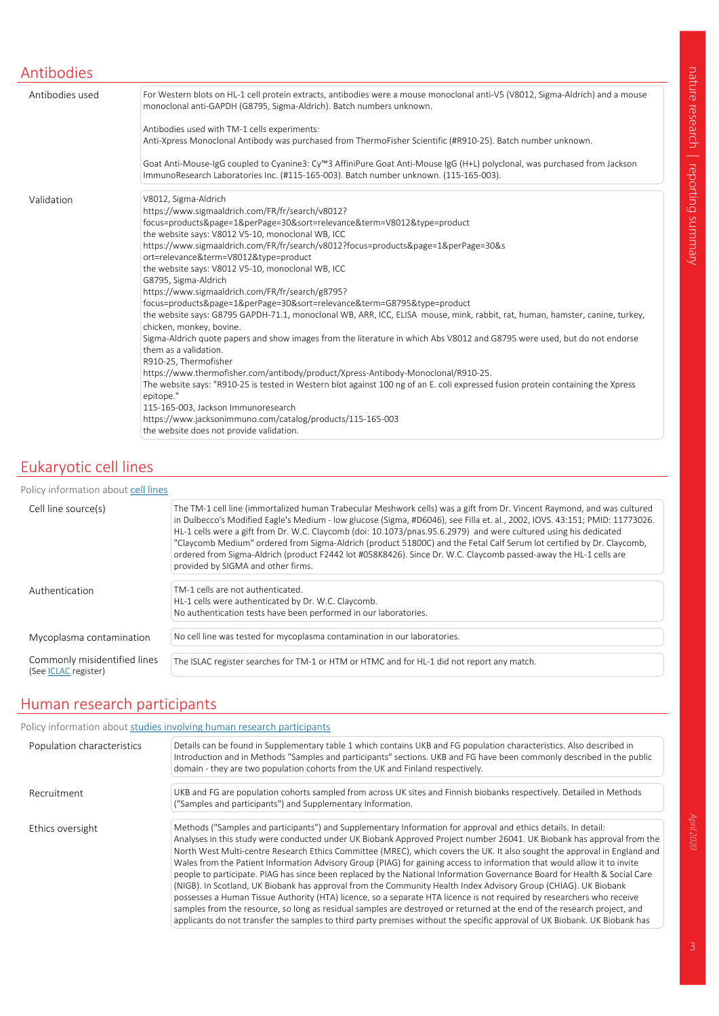### Antibodies

| Antibodies used | For Western blots on HL-1 cell protein extracts, antibodies were a mouse monoclonal anti-V5 (V8012, Sigma-Aldrich) and a mouse<br>monoclonal anti-GAPDH (G8795, Sigma-Aldrich). Batch numbers unknown.             |
|-----------------|--------------------------------------------------------------------------------------------------------------------------------------------------------------------------------------------------------------------|
|                 | Antibodies used with TM-1 cells experiments:<br>Anti-Xpress Monoclonal Antibody was purchased from ThermoFisher Scientific (#R910-25). Batch number unknown.                                                       |
|                 | Goat Anti-Mouse-IgG coupled to Cyanine3: Cy™3 AffiniPure Goat Anti-Mouse IgG (H+L) polyclonal, was purchased from Jackson<br>ImmunoResearch Laboratories Inc. (#115-165-003). Batch number unknown. (115-165-003). |
| Validation      | V8012, Sigma-Aldrich                                                                                                                                                                                               |
|                 | https://www.sigmaaldrich.com/FR/fr/search/v8012?                                                                                                                                                                   |
|                 | focus=products&page=1&perPage=30&sort=relevance&term=V8012&type=product                                                                                                                                            |
|                 | the website says: V8012 V5-10, monoclonal WB, ICC                                                                                                                                                                  |
|                 | https://www.sigmaaldrich.com/FR/fr/search/v8012?focus=products&page=1&perPage=30&s                                                                                                                                 |
|                 | ort=relevance&term=V8012&type=product                                                                                                                                                                              |
|                 | the website says: V8012 V5-10, monoclonal WB, ICC                                                                                                                                                                  |
|                 | G8795, Sigma-Aldrich                                                                                                                                                                                               |
|                 | https://www.sigmaaldrich.com/FR/fr/search/g8795?                                                                                                                                                                   |
|                 | focus=products&page=1&perPage=30&sort=relevance&term=G8795&type=product                                                                                                                                            |
|                 | the website says: G8795 GAPDH-71.1, monoclonal WB, ARR, ICC, ELISA mouse, mink, rabbit, rat, human, hamster, canine, turkey,<br>chicken, monkey, bovine.                                                           |
|                 | Sigma-Aldrich quote papers and show images from the literature in which Abs V8012 and G8795 were used, but do not endorse<br>them as a validation.                                                                 |
|                 | R910-25, Thermofisher                                                                                                                                                                                              |
|                 | https://www.thermofisher.com/antibody/product/Xpress-Antibody-Monoclonal/R910-25.                                                                                                                                  |
|                 | The website says: "R910-25 is tested in Western blot against 100 ng of an E. coli expressed fusion protein containing the Xpress                                                                                   |
|                 | epitope."                                                                                                                                                                                                          |
|                 | 115-165-003, Jackson Immunoresearch                                                                                                                                                                                |
|                 | https://www.jacksonimmuno.com/catalog/products/115-165-003                                                                                                                                                         |
|                 | the website does not provide validation.                                                                                                                                                                           |

### Eukaryotic cell lines

#### Policy information about cell lines Cell line source(s) The TM-1 cell line (immortalized human Trabecular Meshwork cells) was a gift from Dr. Vincent Raymond, and was cultured in Dulbecco's Modified Eagle's Medium - low glucose (Sigma, #D6046), see Filla et. al., 2002, IOVS. 43:151; PMID: 11773026. HL-1 cells were a gift from Dr. W.C. Claycomb (doi: 10.1073/pnas.95.6.2979) and were cultured using his dedicated "Claycomb Medium" ordered from Sigma-Aldrich (product 51800C) and the Fetal Calf Serum lot certified by Dr. Claycomb, ordered from Sigma-Aldrich (product F2442 lot #058K8426). Since Dr. W.C. Claycomb passed-away the HL-1 cells are provided by SIGMA and other firms. Authentication TM-1 cells are not authenticated. HL-1 cells were authenticated by Dr. W.C. Claycomb. No authentication tests have been performed in our laboratories. Mycoplasma contamination No cell line was tested for mycoplasma contamination in our laboratories. Commonly misidentified lines (See ICLAC register) The ISLAC register searches for TM-1 or HTM or HTMC and for HL-1 did not report any match.

### Human research participants

Policy information about studies involving human research participants Population characteristics Details can be found in Supplementary table 1 which contains UKB and FG population characteristics. Also described in Introduction and in Methods "Samples and participants" sections. UKB and FG have been commonly described in the public domain - they are two population cohorts from the UK and Finland respectively. Recruitment UKB and FG are population cohorts sampled from across UK sites and Finnish biobanks respectively. Detailed in Methods ("Samples and participants") and Supplementary Information. Ethics oversight Methods ("Samples and participants") and Supplementary Information for approval and ethics details. In detail: Analyses in this study were conducted under UK Biobank Approved Project number 26041. UK Biobank has approval from the North West Multi-centre Research Ethics Committee (MREC), which covers the UK. It also sought the approval in England and Wales from the Patient Information Advisory Group (PIAG) for gaining access to information that would allow it to invite people to participate. PIAG has since been replaced by the National Information Governance Board for Health & Social Care (NIGB). In Scotland, UK Biobank has approval from the Community Health Index Advisory Group (CHIAG). UK Biobank possesses a Human Tissue Authority (HTA) licence, so a separate HTA licence is not required by researchers who receive samples from the resource, so long as residual samples are destroyed or returned at the end of the research project, and applicants do not transfer the samples to third party premises without the specific approval of UK Biobank. UK Biobank has